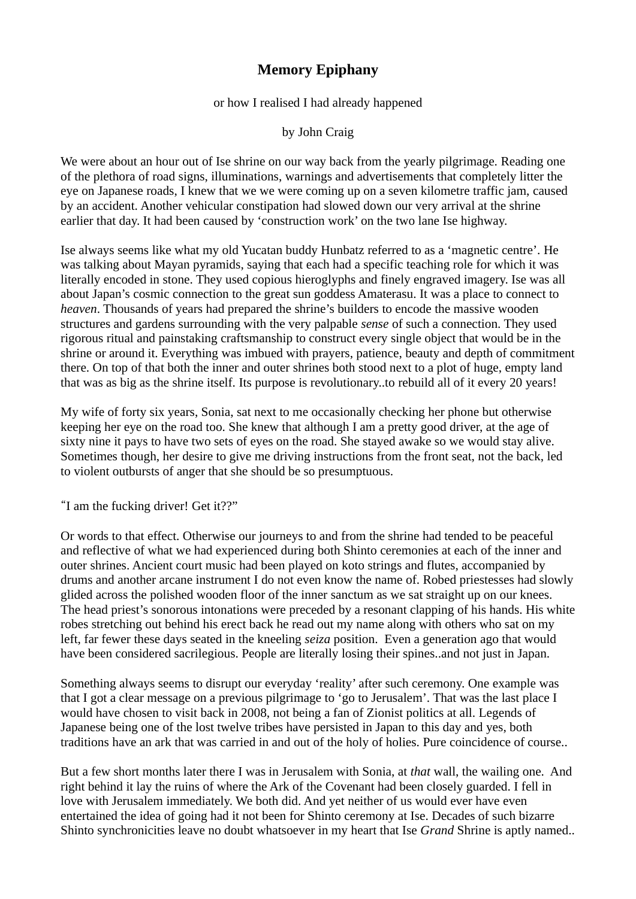## **Memory Epiphany**

or how I realised I had already happened

by John Craig

We were about an hour out of Ise shrine on our way back from the yearly pilgrimage. Reading one of the plethora of road signs, illuminations, warnings and advertisements that completely litter the eye on Japanese roads, I knew that we we were coming up on a seven kilometre traffic jam, caused by an accident. Another vehicular constipation had slowed down our very arrival at the shrine earlier that day. It had been caused by 'construction work' on the two lane Ise highway.

Ise always seems like what my old Yucatan buddy Hunbatz referred to as a 'magnetic centre'. He was talking about Mayan pyramids, saying that each had a specific teaching role for which it was literally encoded in stone. They used copious hieroglyphs and finely engraved imagery. Ise was all about Japan's cosmic connection to the great sun goddess Amaterasu. It was a place to connect to *heaven*. Thousands of years had prepared the shrine's builders to encode the massive wooden structures and gardens surrounding with the very palpable *sense* of such a connection. They used rigorous ritual and painstaking craftsmanship to construct every single object that would be in the shrine or around it. Everything was imbued with prayers, patience, beauty and depth of commitment there. On top of that both the inner and outer shrines both stood next to a plot of huge, empty land that was as big as the shrine itself. Its purpose is revolutionary..to rebuild all of it every 20 years!

My wife of forty six years, Sonia, sat next to me occasionally checking her phone but otherwise keeping her eye on the road too. She knew that although I am a pretty good driver, at the age of sixty nine it pays to have two sets of eyes on the road. She stayed awake so we would stay alive. Sometimes though, her desire to give me driving instructions from the front seat, not the back, led to violent outbursts of anger that she should be so presumptuous.

"I am the fucking driver! Get it??"

Or words to that effect. Otherwise our journeys to and from the shrine had tended to be peaceful and reflective of what we had experienced during both Shinto ceremonies at each of the inner and outer shrines. Ancient court music had been played on koto strings and flutes, accompanied by drums and another arcane instrument I do not even know the name of. Robed priestesses had slowly glided across the polished wooden floor of the inner sanctum as we sat straight up on our knees. The head priest's sonorous intonations were preceded by a resonant clapping of his hands. His white robes stretching out behind his erect back he read out my name along with others who sat on my left, far fewer these days seated in the kneeling *seiza* position. Even a generation ago that would have been considered sacrilegious. People are literally losing their spines..and not just in Japan.

Something always seems to disrupt our everyday 'reality' after such ceremony. One example was that I got a clear message on a previous pilgrimage to 'go to Jerusalem'. That was the last place I would have chosen to visit back in 2008, not being a fan of Zionist politics at all. Legends of Japanese being one of the lost twelve tribes have persisted in Japan to this day and yes, both traditions have an ark that was carried in and out of the holy of holies. Pure coincidence of course..

But a few short months later there I was in Jerusalem with Sonia, at *that* wall, the wailing one. And right behind it lay the ruins of where the Ark of the Covenant had been closely guarded. I fell in love with Jerusalem immediately. We both did. And yet neither of us would ever have even entertained the idea of going had it not been for Shinto ceremony at Ise. Decades of such bizarre Shinto synchronicities leave no doubt whatsoever in my heart that Ise *Grand* Shrine is aptly named..